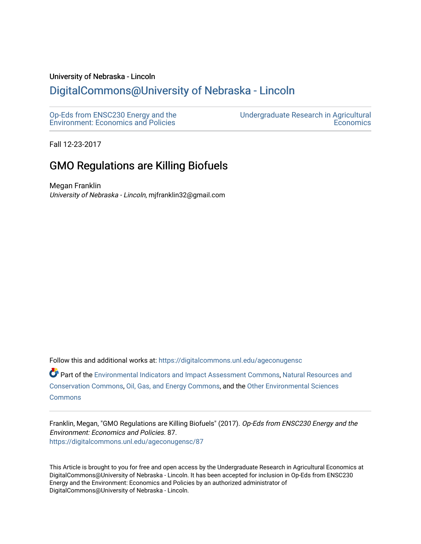### University of Nebraska - Lincoln

## [DigitalCommons@University of Nebraska - Lincoln](https://digitalcommons.unl.edu/)

[Op-Eds from ENSC230 Energy and the](https://digitalcommons.unl.edu/ageconugensc)  [Environment: Economics and Policies](https://digitalcommons.unl.edu/ageconugensc) [Undergraduate Research in Agricultural](https://digitalcommons.unl.edu/ageconunder)  **Economics** 

Fall 12-23-2017

# GMO Regulations are Killing Biofuels

Megan Franklin University of Nebraska - Lincoln, mjfranklin32@gmail.com

Follow this and additional works at: [https://digitalcommons.unl.edu/ageconugensc](https://digitalcommons.unl.edu/ageconugensc?utm_source=digitalcommons.unl.edu%2Fageconugensc%2F87&utm_medium=PDF&utm_campaign=PDFCoverPages) 

Part of the [Environmental Indicators and Impact Assessment Commons,](http://network.bepress.com/hgg/discipline/1015?utm_source=digitalcommons.unl.edu%2Fageconugensc%2F87&utm_medium=PDF&utm_campaign=PDFCoverPages) [Natural Resources and](http://network.bepress.com/hgg/discipline/168?utm_source=digitalcommons.unl.edu%2Fageconugensc%2F87&utm_medium=PDF&utm_campaign=PDFCoverPages)  [Conservation Commons](http://network.bepress.com/hgg/discipline/168?utm_source=digitalcommons.unl.edu%2Fageconugensc%2F87&utm_medium=PDF&utm_campaign=PDFCoverPages), [Oil, Gas, and Energy Commons,](http://network.bepress.com/hgg/discipline/171?utm_source=digitalcommons.unl.edu%2Fageconugensc%2F87&utm_medium=PDF&utm_campaign=PDFCoverPages) and the [Other Environmental Sciences](http://network.bepress.com/hgg/discipline/173?utm_source=digitalcommons.unl.edu%2Fageconugensc%2F87&utm_medium=PDF&utm_campaign=PDFCoverPages)  **[Commons](http://network.bepress.com/hgg/discipline/173?utm_source=digitalcommons.unl.edu%2Fageconugensc%2F87&utm_medium=PDF&utm_campaign=PDFCoverPages)** 

Franklin, Megan, "GMO Regulations are Killing Biofuels" (2017). Op-Eds from ENSC230 Energy and the Environment: Economics and Policies. 87. [https://digitalcommons.unl.edu/ageconugensc/87](https://digitalcommons.unl.edu/ageconugensc/87?utm_source=digitalcommons.unl.edu%2Fageconugensc%2F87&utm_medium=PDF&utm_campaign=PDFCoverPages)

This Article is brought to you for free and open access by the Undergraduate Research in Agricultural Economics at DigitalCommons@University of Nebraska - Lincoln. It has been accepted for inclusion in Op-Eds from ENSC230 Energy and the Environment: Economics and Policies by an authorized administrator of DigitalCommons@University of Nebraska - Lincoln.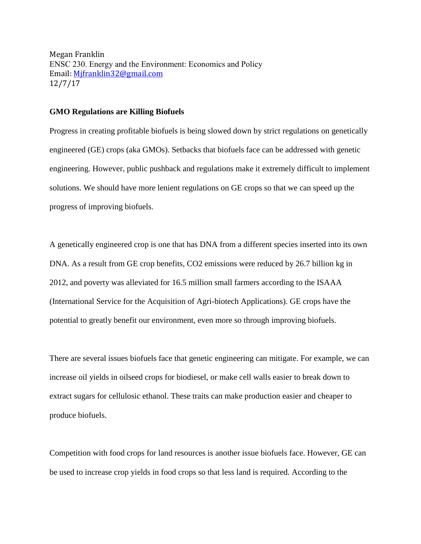Megan Franklin ENSC 230. Energy and the Environment: Economics and Policy Email: [Mjfranklin32@gmail.com](mailto:Mjfranklin32@gmail.com) 12/7/17

#### **GMO Regulations are Killing Biofuels**

Progress in creating profitable biofuels is being slowed down by strict regulations on genetically engineered (GE) crops (aka GMOs). Setbacks that biofuels face can be addressed with genetic engineering. However, public pushback and regulations make it extremely difficult to implement solutions. We should have more lenient regulations on GE crops so that we can speed up the progress of improving biofuels.

A genetically engineered crop is one that has DNA from a different species inserted into its own DNA. As a result from GE crop benefits, CO2 emissions were reduced by 26.7 billion kg in 2012, and poverty was alleviated for 16.5 million small farmers according to the ISAAA (International Service for the Acquisition of Agri-biotech Applications). GE crops have the potential to greatly benefit our environment, even more so through improving biofuels.

There are several issues biofuels face that genetic engineering can mitigate. For example, we can increase oil yields in oilseed crops for biodiesel, or make cell walls easier to break down to extract sugars for cellulosic ethanol. These traits can make production easier and cheaper to produce biofuels.

Competition with food crops for land resources is another issue biofuels face. However, GE can be used to increase crop yields in food crops so that less land is required. According to the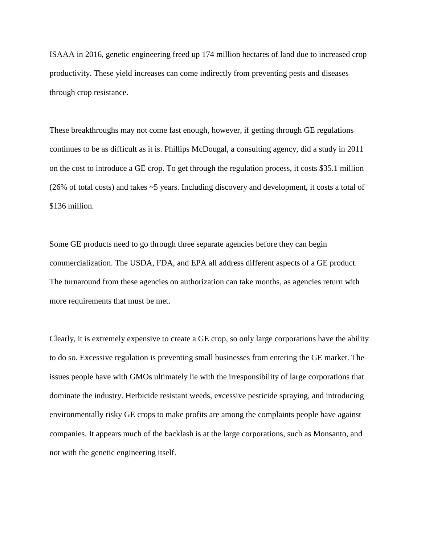ISAAA in 2016, genetic engineering freed up 174 million hectares of land due to increased crop productivity. These yield increases can come indirectly from preventing pests and diseases through crop resistance.

These breakthroughs may not come fast enough, however, if getting through GE regulations continues to be as difficult as it is. Phillips McDougal, a consulting agency, did a study in 2011 on the cost to introduce a GE crop. To get through the regulation process, it costs \$35.1 million (26% of total costs) and takes ~5 years. Including discovery and development, it costs a total of \$136 million.

Some GE products need to go through three separate agencies before they can begin commercialization. The USDA, FDA, and EPA all address different aspects of a GE product. The turnaround from these agencies on authorization can take months, as agencies return with more requirements that must be met.

Clearly, it is extremely expensive to create a GE crop, so only large corporations have the ability to do so. Excessive regulation is preventing small businesses from entering the GE market. The issues people have with GMOs ultimately lie with the irresponsibility of large corporations that dominate the industry. Herbicide resistant weeds, excessive pesticide spraying, and introducing environmentally risky GE crops to make profits are among the complaints people have against companies. It appears much of the backlash is at the large corporations, such as Monsanto, and not with the genetic engineering itself.